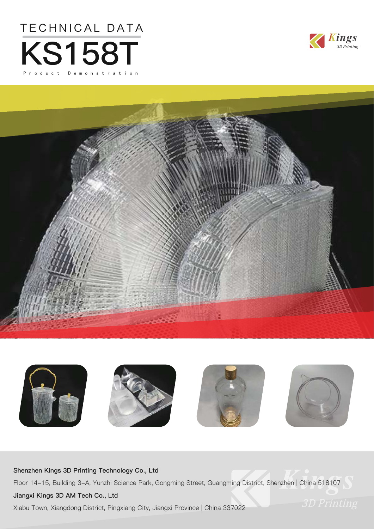







#### **Shenzhen Kings 3D Printing Technology Co., Ltd**

Floor 14-15, Building 3-A, Yunzhi Science Park, Gongming Street, Guangming District, Shenzhen | China 518107

#### **Jiangxi Kings 3D AM Tech Co., Ltd**

Xiabu Town, Xiangdong District, Pingxiang City, Jiangxi Province | China 337022